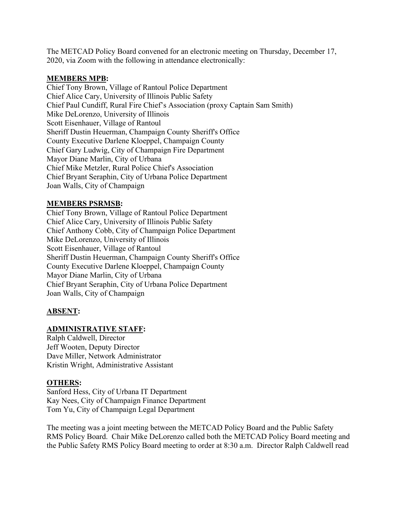The METCAD Policy Board convened for an electronic meeting on Thursday, December 17, 2020, via Zoom with the following in attendance electronically:

#### **MEMBERS MPB:**

Chief Tony Brown, Village of Rantoul Police Department Chief Alice Cary, University of Illinois Public Safety Chief Paul Cundiff, Rural Fire Chief's Association (proxy Captain Sam Smith) Mike DeLorenzo, University of Illinois Scott Eisenhauer, Village of Rantoul Sheriff Dustin Heuerman, Champaign County Sheriff's Office County Executive Darlene Kloeppel, Champaign County Chief Gary Ludwig, City of Champaign Fire Department Mayor Diane Marlin, City of Urbana Chief Mike Metzler, Rural Police Chief's Association Chief Bryant Seraphin, City of Urbana Police Department Joan Walls, City of Champaign

### **MEMBERS PSRMSB:**

Chief Tony Brown, Village of Rantoul Police Department Chief Alice Cary, University of Illinois Public Safety Chief Anthony Cobb, City of Champaign Police Department Mike DeLorenzo, University of Illinois Scott Eisenhauer, Village of Rantoul Sheriff Dustin Heuerman, Champaign County Sheriff's Office County Executive Darlene Kloeppel, Champaign County Mayor Diane Marlin, City of Urbana Chief Bryant Seraphin, City of Urbana Police Department Joan Walls, City of Champaign

# **ABSENT:**

## **ADMINISTRATIVE STAFF:**

Ralph Caldwell, Director Jeff Wooten, Deputy Director Dave Miller, Network Administrator Kristin Wright, Administrative Assistant

## **OTHERS:**

Sanford Hess, City of Urbana IT Department Kay Nees, City of Champaign Finance Department Tom Yu, City of Champaign Legal Department

The meeting was a joint meeting between the METCAD Policy Board and the Public Safety RMS Policy Board. Chair Mike DeLorenzo called both the METCAD Policy Board meeting and the Public Safety RMS Policy Board meeting to order at 8:30 a.m. Director Ralph Caldwell read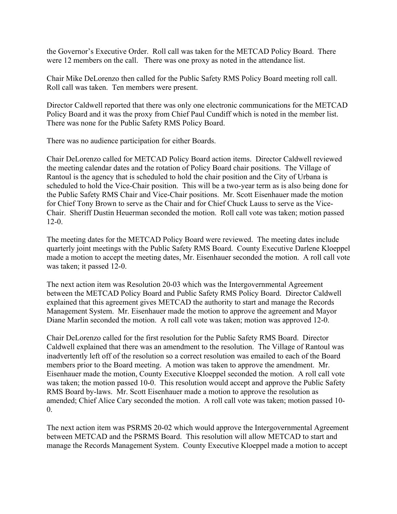the Governor's Executive Order. Roll call was taken for the METCAD Policy Board. There were 12 members on the call. There was one proxy as noted in the attendance list.

Chair Mike DeLorenzo then called for the Public Safety RMS Policy Board meeting roll call. Roll call was taken. Ten members were present.

Director Caldwell reported that there was only one electronic communications for the METCAD Policy Board and it was the proxy from Chief Paul Cundiff which is noted in the member list. There was none for the Public Safety RMS Policy Board.

There was no audience participation for either Boards.

Chair DeLorenzo called for METCAD Policy Board action items. Director Caldwell reviewed the meeting calendar dates and the rotation of Policy Board chair positions. The Village of Rantoul is the agency that is scheduled to hold the chair position and the City of Urbana is scheduled to hold the Vice-Chair position. This will be a two-year term as is also being done for the Public Safety RMS Chair and Vice-Chair positions. Mr. Scott Eisenhauer made the motion for Chief Tony Brown to serve as the Chair and for Chief Chuck Lauss to serve as the Vice-Chair. Sheriff Dustin Heuerman seconded the motion. Roll call vote was taken; motion passed 12-0.

The meeting dates for the METCAD Policy Board were reviewed. The meeting dates include quarterly joint meetings with the Public Safety RMS Board. County Executive Darlene Kloeppel made a motion to accept the meeting dates, Mr. Eisenhauer seconded the motion. A roll call vote was taken; it passed 12-0.

The next action item was Resolution 20-03 which was the Intergovernmental Agreement between the METCAD Policy Board and Public Safety RMS Policy Board. Director Caldwell explained that this agreement gives METCAD the authority to start and manage the Records Management System. Mr. Eisenhauer made the motion to approve the agreement and Mayor Diane Marlin seconded the motion. A roll call vote was taken; motion was approved 12-0.

Chair DeLorenzo called for the first resolution for the Public Safety RMS Board. Director Caldwell explained that there was an amendment to the resolution. The Village of Rantoul was inadvertently left off of the resolution so a correct resolution was emailed to each of the Board members prior to the Board meeting. A motion was taken to approve the amendment. Mr. Eisenhauer made the motion, County Executive Kloeppel seconded the motion. A roll call vote was taken; the motion passed 10-0. This resolution would accept and approve the Public Safety RMS Board by-laws. Mr. Scott Eisenhauer made a motion to approve the resolution as amended; Chief Alice Cary seconded the motion. A roll call vote was taken; motion passed 10-  $\Omega$ .

The next action item was PSRMS 20-02 which would approve the Intergovernmental Agreement between METCAD and the PSRMS Board. This resolution will allow METCAD to start and manage the Records Management System. County Executive Kloeppel made a motion to accept